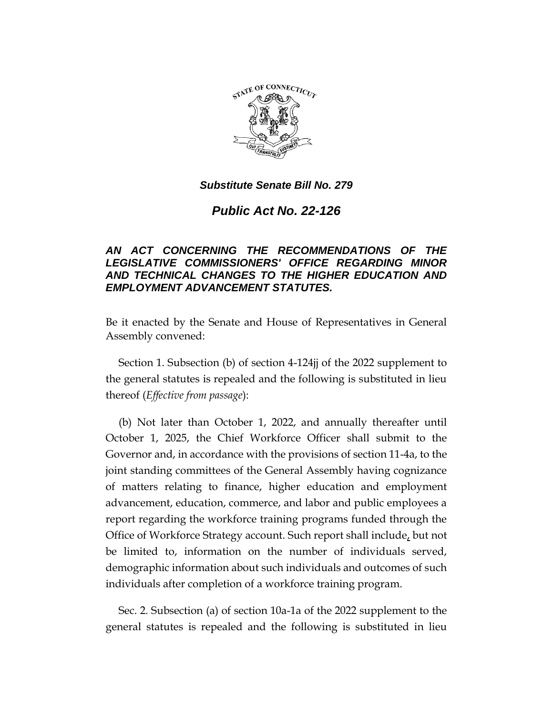

*Public Act No. 22-126*

# *AN ACT CONCERNING THE RECOMMENDATIONS OF THE LEGISLATIVE COMMISSIONERS' OFFICE REGARDING MINOR AND TECHNICAL CHANGES TO THE HIGHER EDUCATION AND EMPLOYMENT ADVANCEMENT STATUTES.*

Be it enacted by the Senate and House of Representatives in General Assembly convened:

Section 1. Subsection (b) of section 4-124jj of the 2022 supplement to the general statutes is repealed and the following is substituted in lieu thereof (*Effective from passage*):

(b) Not later than October 1, 2022, and annually thereafter until October 1, 2025, the Chief Workforce Officer shall submit to the Governor and, in accordance with the provisions of section 11-4a, to the joint standing committees of the General Assembly having cognizance of matters relating to finance, higher education and employment advancement, education, commerce, and labor and public employees a report regarding the workforce training programs funded through the Office of Workforce Strategy account. Such report shall include, but not be limited to, information on the number of individuals served, demographic information about such individuals and outcomes of such individuals after completion of a workforce training program.

Sec. 2. Subsection (a) of section 10a-1a of the 2022 supplement to the general statutes is repealed and the following is substituted in lieu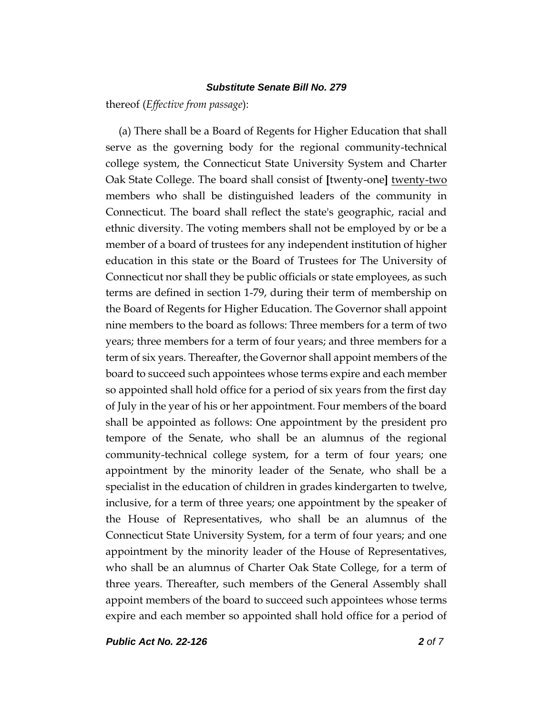thereof (*Effective from passage*):

(a) There shall be a Board of Regents for Higher Education that shall serve as the governing body for the regional community-technical college system, the Connecticut State University System and Charter Oak State College. The board shall consist of **[**twenty-one**]** twenty-two members who shall be distinguished leaders of the community in Connecticut. The board shall reflect the state's geographic, racial and ethnic diversity. The voting members shall not be employed by or be a member of a board of trustees for any independent institution of higher education in this state or the Board of Trustees for The University of Connecticut nor shall they be public officials or state employees, as such terms are defined in section 1-79, during their term of membership on the Board of Regents for Higher Education. The Governor shall appoint nine members to the board as follows: Three members for a term of two years; three members for a term of four years; and three members for a term of six years. Thereafter, the Governor shall appoint members of the board to succeed such appointees whose terms expire and each member so appointed shall hold office for a period of six years from the first day of July in the year of his or her appointment. Four members of the board shall be appointed as follows: One appointment by the president pro tempore of the Senate, who shall be an alumnus of the regional community-technical college system, for a term of four years; one appointment by the minority leader of the Senate, who shall be a specialist in the education of children in grades kindergarten to twelve, inclusive, for a term of three years; one appointment by the speaker of the House of Representatives, who shall be an alumnus of the Connecticut State University System, for a term of four years; and one appointment by the minority leader of the House of Representatives, who shall be an alumnus of Charter Oak State College, for a term of three years. Thereafter, such members of the General Assembly shall appoint members of the board to succeed such appointees whose terms expire and each member so appointed shall hold office for a period of

*Public Act No. 22-126 2 of 7*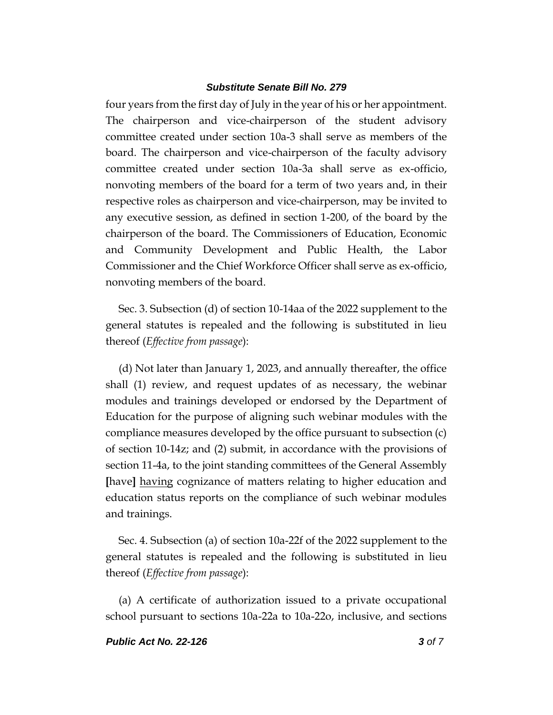four years from the first day of July in the year of his or her appointment. The chairperson and vice-chairperson of the student advisory committee created under section 10a-3 shall serve as members of the board. The chairperson and vice-chairperson of the faculty advisory committee created under section 10a-3a shall serve as ex-officio, nonvoting members of the board for a term of two years and, in their respective roles as chairperson and vice-chairperson, may be invited to any executive session, as defined in section 1-200, of the board by the chairperson of the board. The Commissioners of Education, Economic and Community Development and Public Health, the Labor Commissioner and the Chief Workforce Officer shall serve as ex-officio, nonvoting members of the board.

Sec. 3. Subsection (d) of section 10-14aa of the 2022 supplement to the general statutes is repealed and the following is substituted in lieu thereof (*Effective from passage*):

(d) Not later than January 1, 2023, and annually thereafter, the office shall (1) review, and request updates of as necessary, the webinar modules and trainings developed or endorsed by the Department of Education for the purpose of aligning such webinar modules with the compliance measures developed by the office pursuant to subsection (c) of section 10-14z; and (2) submit, in accordance with the provisions of section 11-4a, to the joint standing committees of the General Assembly **[**have**]** having cognizance of matters relating to higher education and education status reports on the compliance of such webinar modules and trainings.

Sec. 4. Subsection (a) of section 10a-22f of the 2022 supplement to the general statutes is repealed and the following is substituted in lieu thereof (*Effective from passage*):

(a) A certificate of authorization issued to a private occupational school pursuant to sections 10a-22a to 10a-22o, inclusive, and sections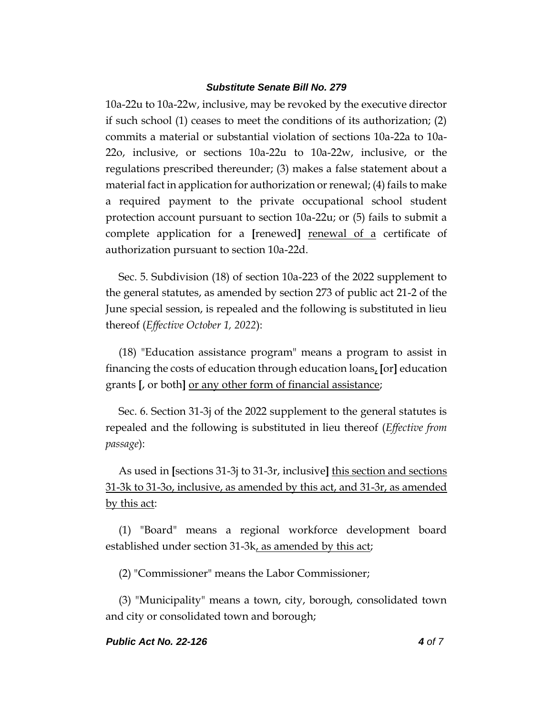10a-22u to 10a-22w, inclusive, may be revoked by the executive director if such school (1) ceases to meet the conditions of its authorization; (2) commits a material or substantial violation of sections 10a-22a to 10a-22o, inclusive, or sections 10a-22u to 10a-22w, inclusive, or the regulations prescribed thereunder; (3) makes a false statement about a material fact in application for authorization or renewal; (4) fails to make a required payment to the private occupational school student protection account pursuant to section 10a-22u; or (5) fails to submit a complete application for a **[**renewed**]** renewal of a certificate of authorization pursuant to section 10a-22d.

Sec. 5. Subdivision (18) of section 10a-223 of the 2022 supplement to the general statutes, as amended by section 273 of public act 21-2 of the June special session, is repealed and the following is substituted in lieu thereof (*Effective October 1, 2022*):

(18) "Education assistance program" means a program to assist in financing the costs of education through education loans, **[**or**]** education grants **[**, or both**]** or any other form of financial assistance;

Sec. 6. Section 31-3j of the 2022 supplement to the general statutes is repealed and the following is substituted in lieu thereof (*Effective from passage*):

As used in **[**sections 31-3j to 31-3r, inclusive**]** this section and sections 31-3k to 31-3o, inclusive, as amended by this act, and 31-3r, as amended by this act:

(1) "Board" means a regional workforce development board established under section 31-3k, as amended by this act;

(2) "Commissioner" means the Labor Commissioner;

(3) "Municipality" means a town, city, borough, consolidated town and city or consolidated town and borough;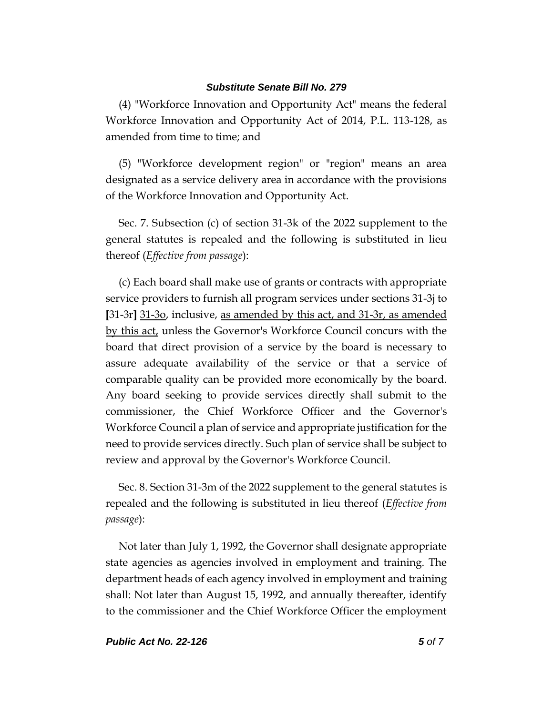(4) "Workforce Innovation and Opportunity Act" means the federal Workforce Innovation and Opportunity Act of 2014, P.L. 113-128, as amended from time to time; and

(5) "Workforce development region" or "region" means an area designated as a service delivery area in accordance with the provisions of the Workforce Innovation and Opportunity Act.

Sec. 7. Subsection (c) of section 31-3k of the 2022 supplement to the general statutes is repealed and the following is substituted in lieu thereof (*Effective from passage*):

(c) Each board shall make use of grants or contracts with appropriate service providers to furnish all program services under sections 31-3j to **[**31-3r**]** 31-3o, inclusive, as amended by this act, and 31-3r, as amended by this act, unless the Governor's Workforce Council concurs with the board that direct provision of a service by the board is necessary to assure adequate availability of the service or that a service of comparable quality can be provided more economically by the board. Any board seeking to provide services directly shall submit to the commissioner, the Chief Workforce Officer and the Governor's Workforce Council a plan of service and appropriate justification for the need to provide services directly. Such plan of service shall be subject to review and approval by the Governor's Workforce Council.

Sec. 8. Section 31-3m of the 2022 supplement to the general statutes is repealed and the following is substituted in lieu thereof (*Effective from passage*):

Not later than July 1, 1992, the Governor shall designate appropriate state agencies as agencies involved in employment and training. The department heads of each agency involved in employment and training shall: Not later than August 15, 1992, and annually thereafter, identify to the commissioner and the Chief Workforce Officer the employment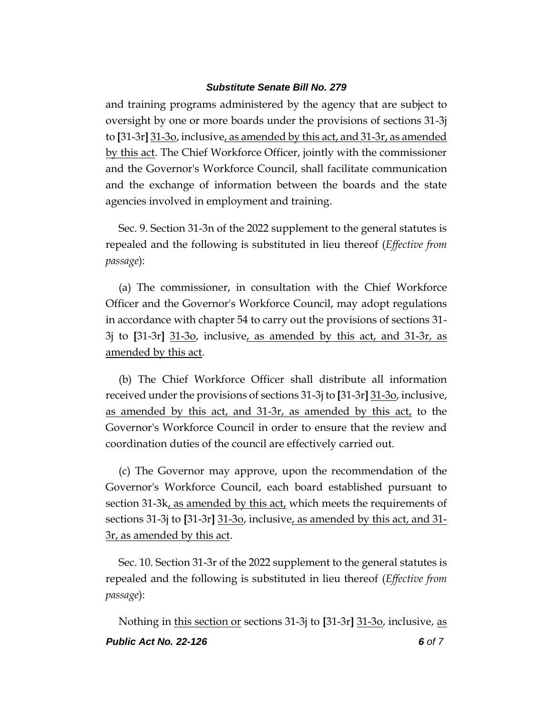and training programs administered by the agency that are subject to oversight by one or more boards under the provisions of sections 31-3j to **[**31-3r**]** 31-3o, inclusive, as amended by this act, and 31-3r, as amended by this act. The Chief Workforce Officer, jointly with the commissioner and the Governor's Workforce Council, shall facilitate communication and the exchange of information between the boards and the state agencies involved in employment and training.

Sec. 9. Section 31-3n of the 2022 supplement to the general statutes is repealed and the following is substituted in lieu thereof (*Effective from passage*):

(a) The commissioner, in consultation with the Chief Workforce Officer and the Governor's Workforce Council, may adopt regulations in accordance with chapter 54 to carry out the provisions of sections 31- 3j to **[**31-3r**]** 31-3o, inclusive, as amended by this act, and 31-3r, as amended by this act.

(b) The Chief Workforce Officer shall distribute all information received under the provisions of sections 31-3j to **[**31-3r**]** 31-3o, inclusive, as amended by this act, and 31-3r, as amended by this act, to the Governor's Workforce Council in order to ensure that the review and coordination duties of the council are effectively carried out.

(c) The Governor may approve, upon the recommendation of the Governor's Workforce Council, each board established pursuant to section 31-3k, as amended by this act, which meets the requirements of sections 31-3j to **[**31-3r**]** 31-3o, inclusive, as amended by this act, and 31- 3r, as amended by this act.

Sec. 10. Section 31-3r of the 2022 supplement to the general statutes is repealed and the following is substituted in lieu thereof (*Effective from passage*):

*Public Act No. 22-126 6 of 7* Nothing in this section or sections 31-3j to **[**31-3r**]** 31-3o, inclusive, as